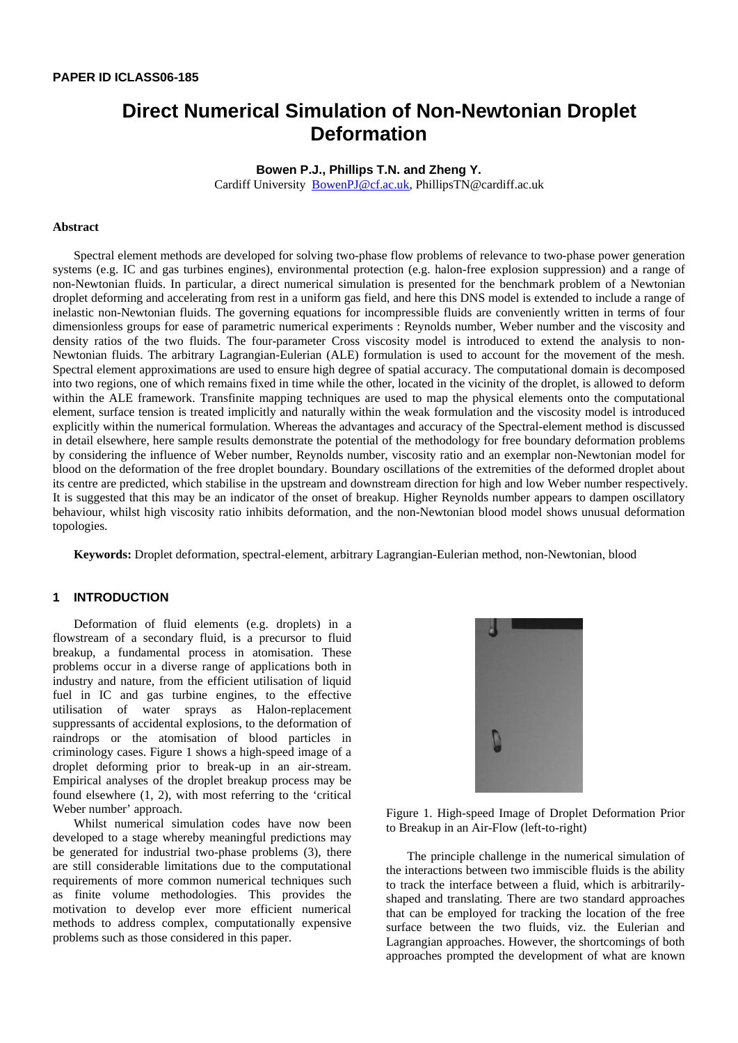# **Direct Numerical Simulation of Non-Newtonian Droplet Deformation**

**Bowen P.J., Phillips T.N. and Zheng Y.** Cardiff University BowenPJ@cf.ac.uk, PhillipsTN@cardiff.ac.uk

#### **Abstract**

Spectral element methods are developed for solving two-phase flow problems of relevance to two-phase power generation systems (e.g. IC and gas turbines engines), environmental protection (e.g. halon-free explosion suppression) and a range of non-Newtonian fluids. In particular, a direct numerical simulation is presented for the benchmark problem of a Newtonian droplet deforming and accelerating from rest in a uniform gas field, and here this DNS model is extended to include a range of inelastic non-Newtonian fluids. The governing equations for incompressible fluids are conveniently written in terms of four dimensionless groups for ease of parametric numerical experiments : Reynolds number, Weber number and the viscosity and density ratios of the two fluids. The four-parameter Cross viscosity model is introduced to extend the analysis to non-Newtonian fluids. The arbitrary Lagrangian-Eulerian (ALE) formulation is used to account for the movement of the mesh. Spectral element approximations are used to ensure high degree of spatial accuracy. The computational domain is decomposed into two regions, one of which remains fixed in time while the other, located in the vicinity of the droplet, is allowed to deform within the ALE framework. Transfinite mapping techniques are used to map the physical elements onto the computational element, surface tension is treated implicitly and naturally within the weak formulation and the viscosity model is introduced explicitly within the numerical formulation. Whereas the advantages and accuracy of the Spectral-element method is discussed in detail elsewhere, here sample results demonstrate the potential of the methodology for free boundary deformation problems by considering the influence of Weber number, Reynolds number, viscosity ratio and an exemplar non-Newtonian model for blood on the deformation of the free droplet boundary. Boundary oscillations of the extremities of the deformed droplet about its centre are predicted, which stabilise in the upstream and downstream direction for high and low Weber number respectively. It is suggested that this may be an indicator of the onset of breakup. Higher Reynolds number appears to dampen oscillatory behaviour, whilst high viscosity ratio inhibits deformation, and the non-Newtonian blood model shows unusual deformation topologies.

**Keywords:** Droplet deformation, spectral-element, arbitrary Lagrangian-Eulerian method, non-Newtonian, blood

## **1 INTRODUCTION**

Deformation of fluid elements (e.g. droplets) in a flowstream of a secondary fluid, is a precursor to fluid breakup, a fundamental process in atomisation. These problems occur in a diverse range of applications both in industry and nature, from the efficient utilisation of liquid fuel in IC and gas turbine engines, to the effective utilisation of water sprays as Halon-replacement suppressants of accidental explosions, to the deformation of raindrops or the atomisation of blood particles in criminology cases. Figure 1 shows a high-speed image of a droplet deforming prior to break-up in an air-stream. Empirical analyses of the droplet breakup process may be found elsewhere (1, 2), with most referring to the 'critical Weber number' approach.

Whilst numerical simulation codes have now been developed to a stage whereby meaningful predictions may be generated for industrial two-phase problems (3), there are still considerable limitations due to the computational requirements of more common numerical techniques such as finite volume methodologies. This provides the motivation to develop ever more efficient numerical methods to address complex, computationally expensive problems such as those considered in this paper.



Figure 1. High-speed Image of Droplet Deformation Prior to Breakup in an Air-Flow (left-to-right)

The principle challenge in the numerical simulation of the interactions between two immiscible fluids is the ability to track the interface between a fluid, which is arbitrarilyshaped and translating. There are two standard approaches that can be employed for tracking the location of the free surface between the two fluids, viz. the Eulerian and Lagrangian approaches. However, the shortcomings of both approaches prompted the development of what are known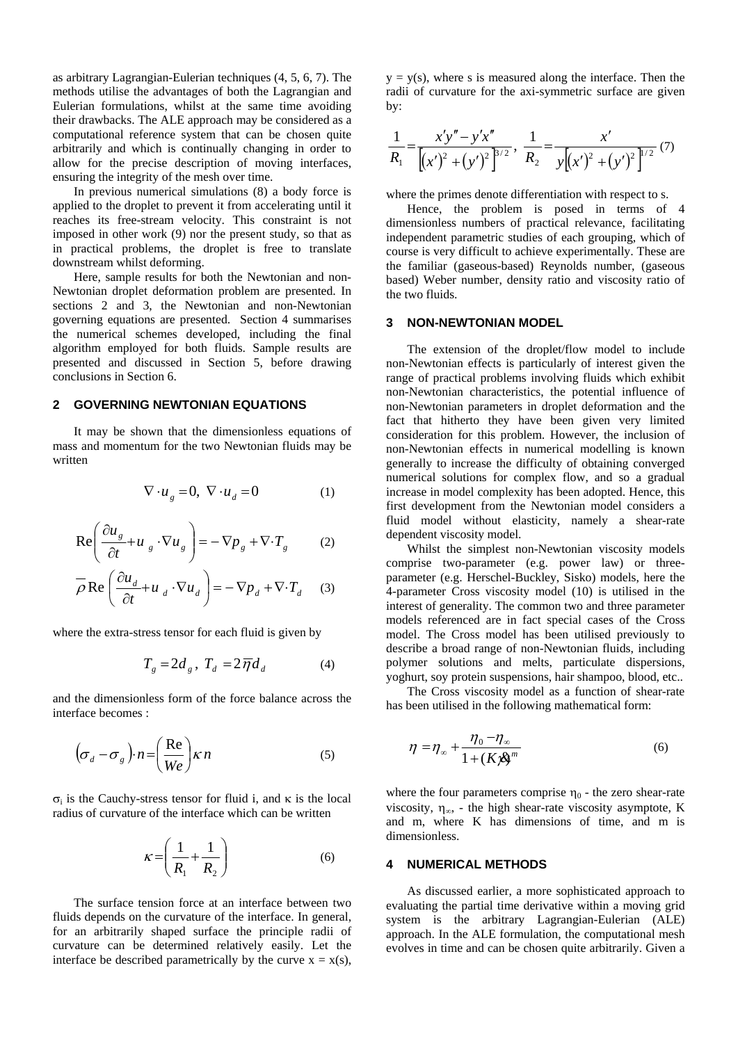as arbitrary Lagrangian-Eulerian techniques (4, 5, 6, 7). The methods utilise the advantages of both the Lagrangian and Eulerian formulations, whilst at the same time avoiding their drawbacks. The ALE approach may be considered as a computational reference system that can be chosen quite arbitrarily and which is continually changing in order to allow for the precise description of moving interfaces, ensuring the integrity of the mesh over time.

In previous numerical simulations (8) a body force is applied to the droplet to prevent it from accelerating until it reaches its free-stream velocity. This constraint is not imposed in other work (9) nor the present study, so that as in practical problems, the droplet is free to translate downstream whilst deforming.

Here, sample results for both the Newtonian and non-Newtonian droplet deformation problem are presented. In sections 2 and 3, the Newtonian and non-Newtonian governing equations are presented. Section 4 summarises the numerical schemes developed, including the final algorithm employed for both fluids. Sample results are presented and discussed in Section 5, before drawing conclusions in Section 6.

## **2 GOVERNING NEWTONIAN EQUATIONS**

It may be shown that the dimensionless equations of mass and momentum for the two Newtonian fluids may be written

$$
\nabla \cdot u_g = 0, \ \nabla \cdot u_d = 0 \tag{1}
$$

$$
\text{Re}\left(\frac{\partial u_s}{\partial t} + u_s \cdot \nabla u_s\right) = -\nabla p_s + \nabla \cdot T_s \tag{2}
$$

$$
\overline{\rho} \text{Re} \left( \frac{\partial u_d}{\partial t} + u_d \cdot \nabla u_d \right) = -\nabla p_d + \nabla \cdot T_d \quad (3)
$$

where the extra-stress tensor for each fluid is given by

$$
T_g = 2d_g, T_d = 2\overline{\eta}d_d \tag{4}
$$

and the dimensionless form of the force balance across the interface becomes :

$$
\left(\sigma_d - \sigma_g\right) \cdot n = \left(\frac{\text{Re}}{We}\right) \kappa n \tag{5}
$$

σi is the Cauchy-stress tensor for fluid i, and κ is the local radius of curvature of the interface which can be written

$$
\kappa = \left(\frac{1}{R_1} + \frac{1}{R_2}\right) \tag{6}
$$

The surface tension force at an interface between two fluids depends on the curvature of the interface. In general, for an arbitrarily shaped surface the principle radii of curvature can be determined relatively easily. Let the interface be described parametrically by the curve  $x = x(s)$ ,  $y = y(s)$ , where s is measured along the interface. Then the radii of curvature for the axi-symmetric surface are given by:

$$
\frac{1}{R_1} = \frac{x'y'' - y'x''}{[(x')^2 + (y')^2]^{3/2}}, \quad \frac{1}{R_2} = \frac{x'}{y[(x')^2 + (y')^2]^{1/2}} \tag{7}
$$

where the primes denote differentiation with respect to s.

Hence, the problem is posed in terms of 4 dimensionless numbers of practical relevance, facilitating independent parametric studies of each grouping, which of course is very difficult to achieve experimentally. These are the familiar (gaseous-based) Reynolds number, (gaseous based) Weber number, density ratio and viscosity ratio of the two fluids.

#### **3 NON-NEWTONIAN MODEL**

The extension of the droplet/flow model to include non-Newtonian effects is particularly of interest given the range of practical problems involving fluids which exhibit non-Newtonian characteristics, the potential influence of non-Newtonian parameters in droplet deformation and the fact that hitherto they have been given very limited consideration for this problem. However, the inclusion of non-Newtonian effects in numerical modelling is known generally to increase the difficulty of obtaining converged numerical solutions for complex flow, and so a gradual increase in model complexity has been adopted. Hence, this first development from the Newtonian model considers a fluid model without elasticity, namely a shear-rate dependent viscosity model.

Whilst the simplest non-Newtonian viscosity models comprise two-parameter (e.g. power law) or threeparameter (e.g. Herschel-Buckley, Sisko) models, here the 4-parameter Cross viscosity model (10) is utilised in the interest of generality. The common two and three parameter models referenced are in fact special cases of the Cross model. The Cross model has been utilised previously to describe a broad range of non-Newtonian fluids, including polymer solutions and melts, particulate dispersions, yoghurt, soy protein suspensions, hair shampoo, blood, etc..

The Cross viscosity model as a function of shear-rate has been utilised in the following mathematical form:

$$
\eta = \eta_{\infty} + \frac{\eta_0 - \eta_{\infty}}{1 + (K \mathcal{B})^m}
$$
\n(6)

where the four parameters comprise  $\eta_0$  - the zero shear-rate viscosity,  $\eta_{\infty}$ , - the high shear-rate viscosity asymptote, K and m, where K has dimensions of time, and m is dimensionless.

#### **4 NUMERICAL METHODS**

As discussed earlier, a more sophisticated approach to evaluating the partial time derivative within a moving grid system is the arbitrary Lagrangian-Eulerian (ALE) approach. In the ALE formulation, the computational mesh evolves in time and can be chosen quite arbitrarily. Given a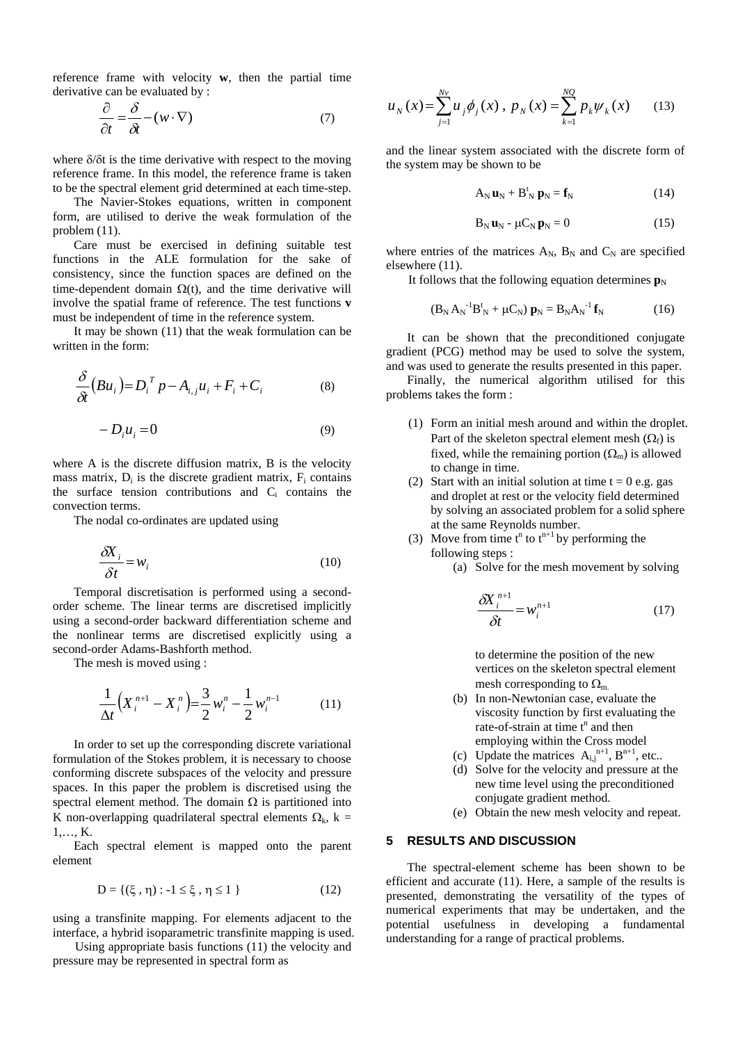reference frame with velocity **w**, then the partial time derivative can be evaluated by :

$$
\frac{\partial}{\partial t} = \frac{\delta}{\delta t} - (w \cdot \nabla) \tag{7}
$$

where  $\delta/\delta t$  is the time derivative with respect to the moving reference frame. In this model, the reference frame is taken to be the spectral element grid determined at each time-step.

The Navier-Stokes equations, written in component form, are utilised to derive the weak formulation of the problem (11).

Care must be exercised in defining suitable test functions in the ALE formulation for the sake of consistency, since the function spaces are defined on the time-dependent domain  $\Omega(t)$ , and the time derivative will involve the spatial frame of reference. The test functions **v** must be independent of time in the reference system.

It may be shown (11) that the weak formulation can be written in the form:

$$
\frac{\delta}{\delta t}(Bu_i) = D_i^T p - A_{i,j}u_i + F_i + C_i \tag{8}
$$

$$
-D_i u_i = 0 \tag{9}
$$

where A is the discrete diffusion matrix, B is the velocity mass matrix,  $D_i$  is the discrete gradient matrix,  $F_i$  contains the surface tension contributions and  $C_i$  contains the convection terms.

The nodal co-ordinates are updated using

$$
\frac{\delta X_i}{\delta t} = w_i \tag{10}
$$

Temporal discretisation is performed using a secondorder scheme. The linear terms are discretised implicitly using a second-order backward differentiation scheme and the nonlinear terms are discretised explicitly using a second-order Adams-Bashforth method.

The mesh is moved using :

$$
\frac{1}{\Delta t} \Big( X_i^{n+1} - X_i^{n} \Big) = \frac{3}{2} w_i^{n} - \frac{1}{2} w_i^{n-1}
$$
 (11)

In order to set up the corresponding discrete variational formulation of the Stokes problem, it is necessary to choose conforming discrete subspaces of the velocity and pressure spaces. In this paper the problem is discretised using the spectral element method. The domain  $\Omega$  is partitioned into K non-overlapping quadrilateral spectral elements  $\Omega_k$ , k = 1,…, K.

Each spectral element is mapped onto the parent element

$$
D = \{ (\xi, \eta) : -1 \le \xi, \eta \le 1 \}
$$
 (12)

using a transfinite mapping. For elements adjacent to the interface, a hybrid isoparametric transfinite mapping is used.

Using appropriate basis functions (11) the velocity and pressure may be represented in spectral form as

$$
u_N(x) = \sum_{j=1}^{Nv} u_j \phi_j(x), \ p_N(x) = \sum_{k=1}^{NQ} p_k \psi_k(x) \qquad (13)
$$

and the linear system associated with the discrete form of the system may be shown to be

$$
A_N \mathbf{u}_N + B^t_N \mathbf{p}_N = \mathbf{f}_N \tag{14}
$$

$$
\mathbf{B}_{N}\mathbf{u}_{N} - \mu \mathbf{C}_{N}\mathbf{p}_{N} = 0 \tag{15}
$$

where entries of the matrices  $A_N$ ,  $B_N$  and  $C_N$  are specified elsewhere (11).

It follows that the following equation determines  $\mathbf{p}_N$ 

$$
(B_N A_N^{-1} B_N^t + \mu C_N) \mathbf{p}_N = B_N A_N^{-1} \mathbf{f}_N \tag{16}
$$

It can be shown that the preconditioned conjugate gradient (PCG) method may be used to solve the system, and was used to generate the results presented in this paper.

Finally, the numerical algorithm utilised for this problems takes the form :

- (1) Form an initial mesh around and within the droplet. Part of the skeleton spectral element mesh  $(Q_f)$  is fixed, while the remaining portion  $(\Omega_{\rm m})$  is allowed to change in time.
- (2) Start with an initial solution at time  $t = 0$  e.g. gas and droplet at rest or the velocity field determined by solving an associated problem for a solid sphere at the same Reynolds number.
- (3) Move from time  $t^n$  to  $t^{n+1}$  by performing the following steps :
	- (a) Solve for the mesh movement by solving

$$
\frac{\delta X_i^{n+1}}{\delta t} = w_i^{n+1}
$$
 (17)

to determine the position of the new vertices on the skeleton spectral element mesh corresponding to  $\Omega_{\rm m}$ .

- (b) In non-Newtonian case, evaluate the viscosity function by first evaluating the rate-of-strain at time  $t^n$  and then employing within the Cross model
- (c) Update the matrices  $A_{i,j}^{n+1}$ ,  $B^{n+1}$ , etc..
- (d) Solve for the velocity and pressure at the new time level using the preconditioned conjugate gradient method.
- (e) Obtain the new mesh velocity and repeat.

#### **5 RESULTS AND DISCUSSION**

The spectral-element scheme has been shown to be efficient and accurate (11). Here, a sample of the results is presented, demonstrating the versatility of the types of numerical experiments that may be undertaken, and the potential usefulness in developing a fundamental understanding for a range of practical problems.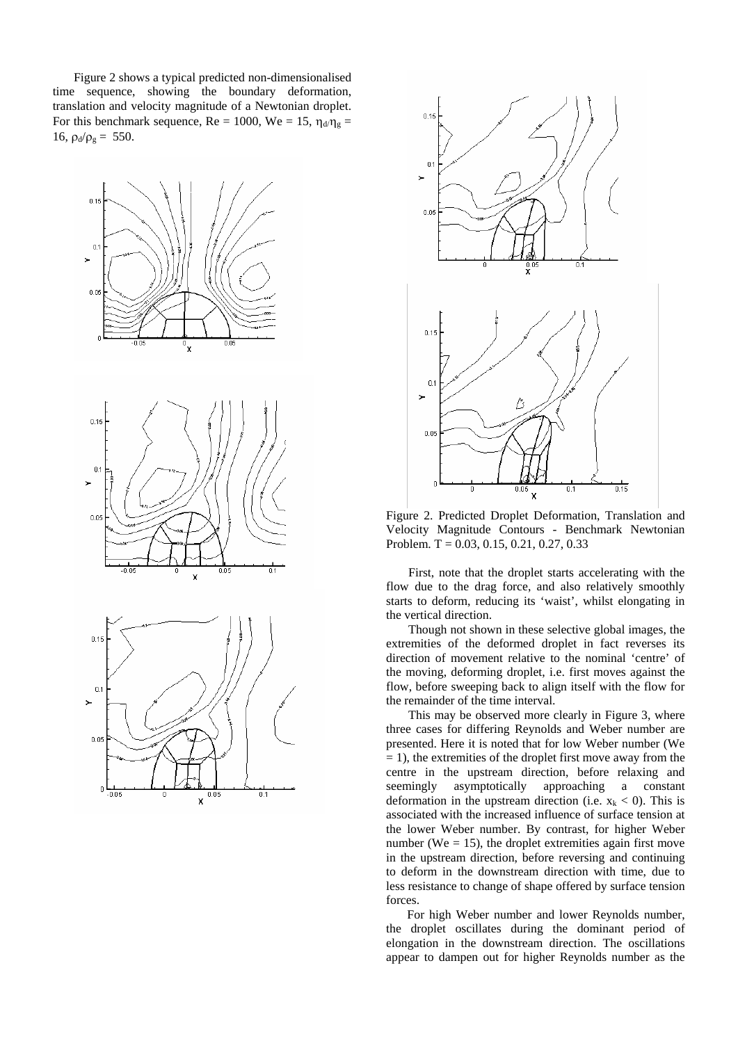Figure 2 shows a typical predicted non-dimensionalised time sequence, showing the boundary deformation, translation and velocity magnitude of a Newtonian droplet. For this benchmark sequence,  $\text{Re} = 1000$ ,  $\text{We} = 15$ ,  $\eta_{d}/\eta_{g} =$ 16,  $\rho_d/\rho_g = 550$ .









Figure 2. Predicted Droplet Deformation, Translation and Velocity Magnitude Contours - Benchmark Newtonian Problem. T = 0.03, 0.15, 0.21, 0.27, 0.33

First, note that the droplet starts accelerating with the flow due to the drag force, and also relatively smoothly starts to deform, reducing its 'waist', whilst elongating in the vertical direction.

Though not shown in these selective global images, the extremities of the deformed droplet in fact reverses its direction of movement relative to the nominal 'centre' of the moving, deforming droplet, i.e. first moves against the flow, before sweeping back to align itself with the flow for the remainder of the time interval.

This may be observed more clearly in Figure 3, where three cases for differing Reynolds and Weber number are presented. Here it is noted that for low Weber number (We  $= 1$ ), the extremities of the droplet first move away from the centre in the upstream direction, before relaxing and seemingly asymptotically approaching a constant deformation in the upstream direction (i.e.  $x_k < 0$ ). This is associated with the increased influence of surface tension at the lower Weber number. By contrast, for higher Weber number (We  $= 15$ ), the droplet extremities again first move in the upstream direction, before reversing and continuing to deform in the downstream direction with time, due to less resistance to change of shape offered by surface tension forces.

For high Weber number and lower Reynolds number, the droplet oscillates during the dominant period of elongation in the downstream direction. The oscillations appear to dampen out for higher Reynolds number as the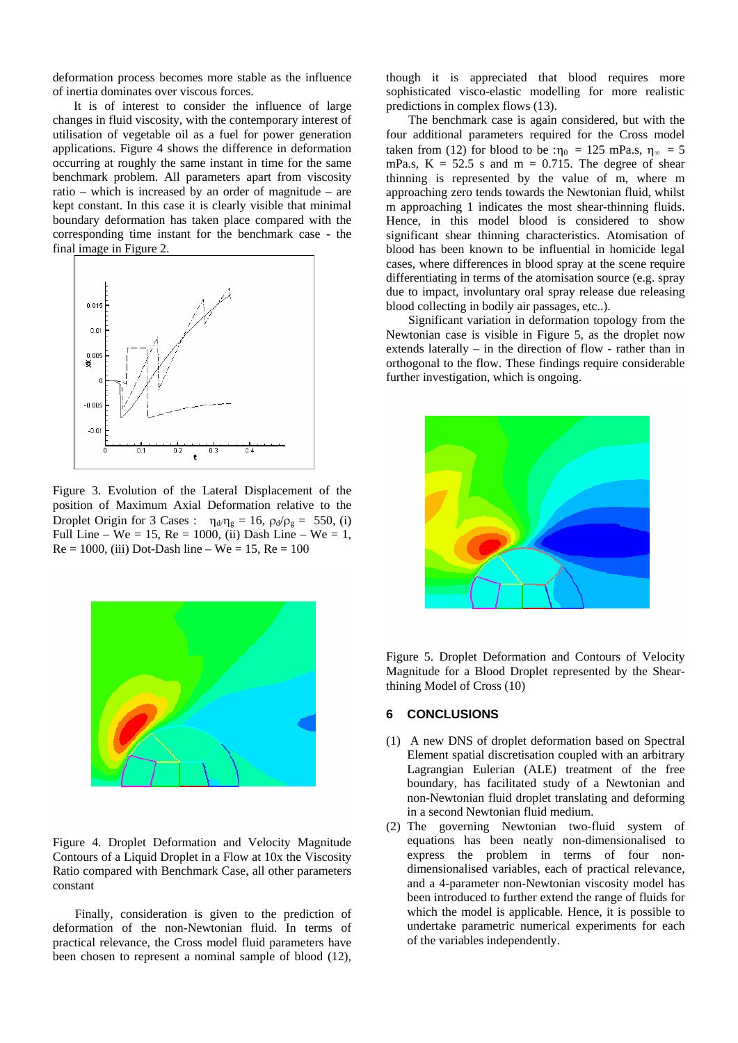deformation process becomes more stable as the influence of inertia dominates over viscous forces.

It is of interest to consider the influence of large changes in fluid viscosity, with the contemporary interest of utilisation of vegetable oil as a fuel for power generation applications. Figure 4 shows the difference in deformation occurring at roughly the same instant in time for the same benchmark problem. All parameters apart from viscosity ratio – which is increased by an order of magnitude – are kept constant. In this case it is clearly visible that minimal boundary deformation has taken place compared with the corresponding time instant for the benchmark case - the final image in Figure 2.



Figure 3. Evolution of the Lateral Displacement of the position of Maximum Axial Deformation relative to the Droplet Origin for 3 Cases :  $\eta_d/\eta_g = 16$ ,  $\rho_d/\rho_g = 550$ , (i) Full Line – We = 15, Re = 1000, (ii) Dash Line – We = 1,  $Re = 1000$ , (iii) Dot-Dash line – We = 15, Re = 100



Figure 4. Droplet Deformation and Velocity Magnitude Contours of a Liquid Droplet in a Flow at 10x the Viscosity Ratio compared with Benchmark Case, all other parameters constant

Finally, consideration is given to the prediction of deformation of the non-Newtonian fluid. In terms of practical relevance, the Cross model fluid parameters have been chosen to represent a nominal sample of blood (12), though it is appreciated that blood requires more sophisticated visco-elastic modelling for more realistic predictions in complex flows (13).

The benchmark case is again considered, but with the four additional parameters required for the Cross model taken from (12) for blood to be : $\eta_0 = 125$  mPa.s,  $\eta_\infty = 5$ mPa.s,  $K = 52.5$  s and  $m = 0.715$ . The degree of shear thinning is represented by the value of m, where m approaching zero tends towards the Newtonian fluid, whilst m approaching 1 indicates the most shear-thinning fluids. Hence, in this model blood is considered to show significant shear thinning characteristics. Atomisation of blood has been known to be influential in homicide legal cases, where differences in blood spray at the scene require differentiating in terms of the atomisation source (e.g. spray due to impact, involuntary oral spray release due releasing blood collecting in bodily air passages, etc..).

Significant variation in deformation topology from the Newtonian case is visible in Figure 5, as the droplet now extends laterally – in the direction of flow - rather than in orthogonal to the flow. These findings require considerable further investigation, which is ongoing.



Figure 5. Droplet Deformation and Contours of Velocity Magnitude for a Blood Droplet represented by the Shearthining Model of Cross (10)

## **6 CONCLUSIONS**

- (1) A new DNS of droplet deformation based on Spectral Element spatial discretisation coupled with an arbitrary Lagrangian Eulerian (ALE) treatment of the free boundary, has facilitated study of a Newtonian and non-Newtonian fluid droplet translating and deforming in a second Newtonian fluid medium.
- (2) The governing Newtonian two-fluid system of equations has been neatly non-dimensionalised to express the problem in terms of four nondimensionalised variables, each of practical relevance, and a 4-parameter non-Newtonian viscosity model has been introduced to further extend the range of fluids for which the model is applicable. Hence, it is possible to undertake parametric numerical experiments for each of the variables independently.